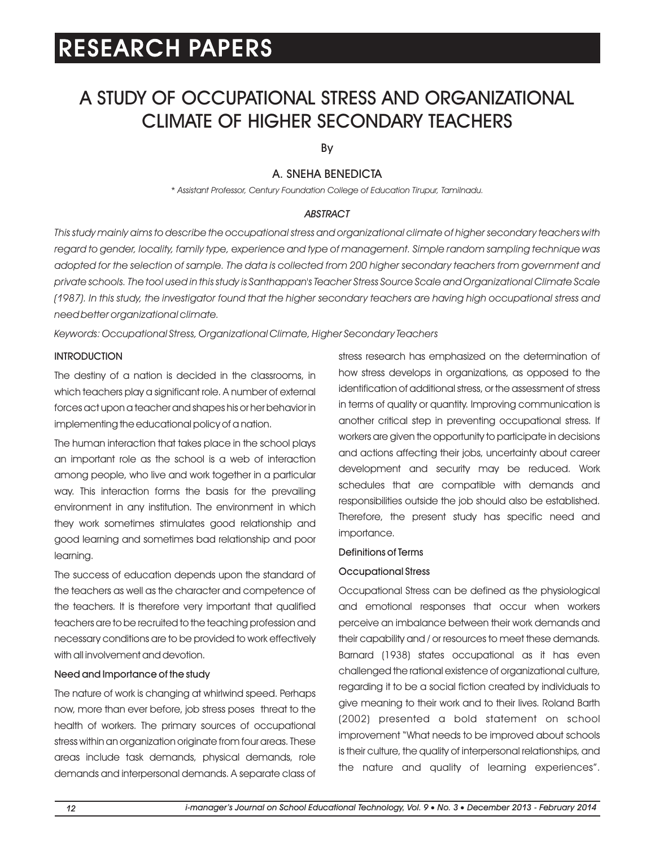# A STUDY OF OCCUPATIONAL STRESS AND ORGANIZATIONAL CLIMATE OF HIGHER SECONDARY TEACHERS

By

# A. SNEHA BENEDICTA

*\* Assistant Professor, Century Foundation College of Education Tirupur, Tamilnadu.*

# *ABSTRACT*

*This study mainly aims to describe the occupational stress and organizational climate of higher secondary teachers with regard to gender, locality, family type, experience and type of management. Simple random sampling technique was adopted for the selection of sample. The data is collected from 200 higher secondary teachers from government and private schools. The tool used in this study is Santhappan's Teacher Stress Source Scale and Organizational Climate Scale (1987). In this study, the investigator found that the higher secondary teachers are having high occupational stress and need better organizational climate.*

*Keywords: Occupational Stress, Organizational Climate, Higher Secondary Teachers*

# **INTRODUCTION**

The destiny of a nation is decided in the classrooms, in which teachers play a significant role. A number of external forces act upon a teacher and shapes his or her behavior in implementing the educational policy of a nation.

The human interaction that takes place in the school plays an important role as the school is a web of interaction among people, who live and work together in a particular way. This interaction forms the basis for the prevailing environment in any institution. The environment in which they work sometimes stimulates good relationship and good learning and sometimes bad relationship and poor learning.

The success of education depends upon the standard of the teachers as well as the character and competence of the teachers. It is therefore very important that qualified teachers are to be recruited to the teaching profession and necessary conditions are to be provided to work effectively with all involvement and devotion.

# Need and Importance of the study

The nature of work is changing at whirlwind speed. Perhaps now, more than ever before, job stress poses threat to the health of workers. The primary sources of occupational stress within an organization originate from four areas. These areas include task demands, physical demands, role demands and interpersonal demands. A separate class of stress research has emphasized on the determination of how stress develops in organizations, as opposed to the identification of additional stress, or the assessment of stress in terms of quality or quantity. Improving communication is another critical step in preventing occupational stress. If workers are given the opportunity to participate in decisions and actions affecting their jobs, uncertainty about career development and security may be reduced. Work schedules that are compatible with demands and responsibilities outside the job should also be established. Therefore, the present study has specific need and importance.

# Definitions of Terms

# Occupational Stress

Occupational Stress can be defined as the physiological and emotional responses that occur when workers perceive an imbalance between their work demands and their capability and / or resources to meet these demands. Barnard (1938) states occupational as it has even challenged the rational existence of organizational culture, regarding it to be a social fiction created by individuals to give meaning to their work and to their lives. Roland Barth (2002) presented a bold statement on school improvement "What needs to be improved about schools is their culture, the quality of interpersonal relationships, and the nature and quality of learning experiences".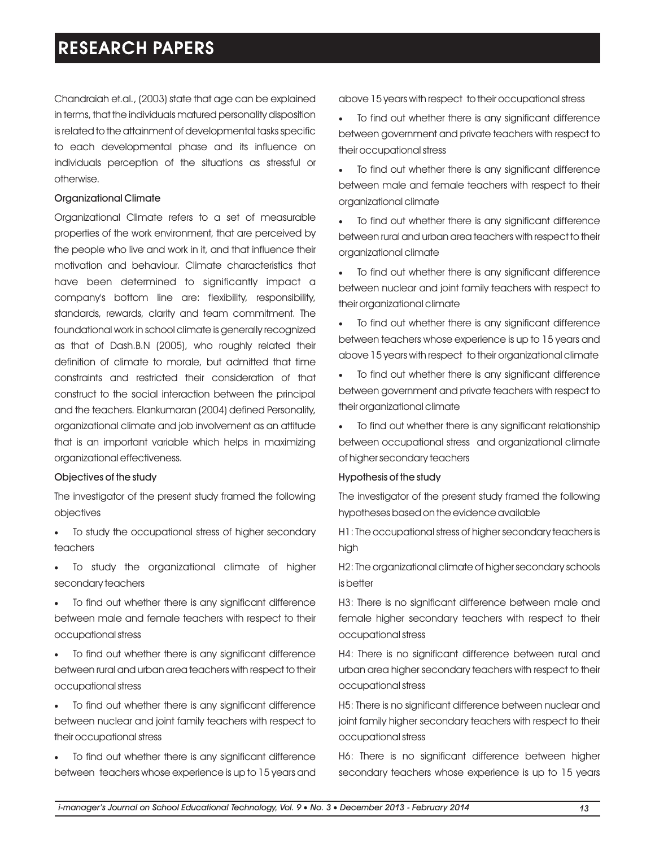Chandraiah et.al., (2003) state that age can be explained in terms, that the individuals matured personality disposition is related to the attainment of developmental tasks specific to each developmental phase and its influence on individuals perception of the situations as stressful or otherwise.

### Organizational Climate

Organizational Climate refers to a set of measurable properties of the work environment, that are perceived by the people who live and work in it, and that influence their motivation and behaviour. Climate characteristics that have been determined to significantly impact a company's bottom line are: flexibility, responsibility, standards, rewards, clarity and team commitment. The foundational work in school climate is generally recognized as that of Dash.B.N (2005), who roughly related their definition of climate to morale, but admitted that time constraints and restricted their consideration of that construct to the social interaction between the principal and the teachers. Elankumaran (2004) defined Personality, organizational climate and job involvement as an attitude that is an important variable which helps in maximizing organizational effectiveness.

### Objectives of the study

The investigator of the present study framed the following objectives

- ·To study the occupational stress of higher secondary teachers
- ·To study the organizational climate of higher secondary teachers
- ·To find out whether there is any significant difference between male and female teachers with respect to their occupational stress
- ·To find out whether there is any significant difference between rural and urban area teachers with respect to their occupational stress
- ·To find out whether there is any significant difference between nuclear and joint family teachers with respect to their occupational stress
- ·To find out whether there is any significant difference between teachers whose experience is up to 15 years and

above 15 years with respect to their occupational stress

To find out whether there is any significant difference between government and private teachers with respect to their occupational stress

- To find out whether there is any significant difference between male and female teachers with respect to their organizational climate
- To find out whether there is any significant difference between rural and urban area teachers with respect to their organizational climate
- To find out whether there is any significant difference between nuclear and joint family teachers with respect to their organizational climate
- To find out whether there is any significant difference between teachers whose experience is up to 15 years and above 15 years with respect to their organizational climate
- ·To find out whether there is any significant difference between government and private teachers with respect to their organizational climate
- ·To find out whether there is any significant relationship between occupational stress and organizational climate of higher secondary teachers

### Hypothesis of the study

The investigator of the present study framed the following hypotheses based on the evidence available

H1: The occupational stress of higher secondary teachers is high

H2: The organizational climate of higher secondary schools is better

H3: There is no significant difference between male and female higher secondary teachers with respect to their occupational stress

H4: There is no significant difference between rural and urban area higher secondary teachers with respect to their occupational stress

H5: There is no significant difference between nuclear and joint family higher secondary teachers with respect to their occupational stress

H6: There is no significant difference between higher secondary teachers whose experience is up to 15 years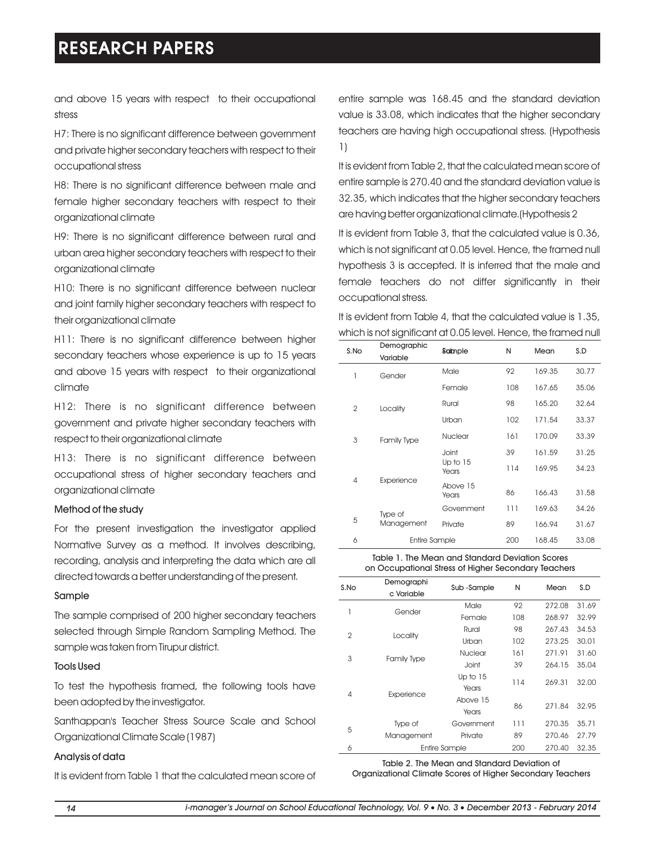and above 15 years with respect to their occupational stress

H7: There is no significant difference between government and private higher secondary teachers with respect to their occupational stress

H8: There is no significant difference between male and female higher secondary teachers with respect to their organizational climate

H9: There is no significant difference between rural and urban area higher secondary teachers with respect to their organizational climate

H10: There is no significant difference between nuclear and joint family higher secondary teachers with respect to their organizational climate

H11: There is no significant difference between higher secondary teachers whose experience is up to 15 years and above 15 years with respect to their organizational climate

H12: There is no significant difference between government and private higher secondary teachers with respect to their organizational climate

H13: There is no significant difference between occupational stress of higher secondary teachers and organizational climate

#### Method of the study

For the present investigation the investigator applied Normative Survey as a method. It involves describing, recording, analysis and interpreting the data which are all directed towards a better understanding of the present.

#### Sample

The sample comprised of 200 higher secondary teachers selected through Simple Random Sampling Method. The sample was taken from Tirupur district.

### Tools Used

To test the hypothesis framed, the following tools have been adopted by the investigator.

Santhappan's Teacher Stress Source Scale and School Organizational Climate Scale (1987)

### Analysis of data

It is evident from Table 1 that the calculated mean score of

entire sample was 168.45 and the standard deviation value is 33.08, which indicates that the higher secondary teachers are having high occupational stress. (Hypothesis 1)

It is evident from Table 2, that the calculated mean score of entire sample is 270.40 and the standard deviation value is 32.35, which indicates that the higher secondary teachers are having better organizational climate.(Hypothesis 2

It is evident from Table 3, that the calculated value is 0.36, which is not significant at 0.05 level. Hence, the framed null hypothesis 3 is accepted. It is inferred that the male and female teachers do not differ significantly in their occupational stress.

It is evident from Table 4, that the calculated value is 1.35, which is not significant at 0.05 level. Hence, the framed null

| S.No           | Demographic          | Sample            | N   | Mean   | S.D   |
|----------------|----------------------|-------------------|-----|--------|-------|
|                | Variable             |                   |     |        |       |
| 1              | Gender               | Male              | 92  | 169.35 | 30.77 |
|                |                      | Female            | 108 | 167.65 | 35.06 |
| $\overline{2}$ | Locality             | Rural             | 98  | 165.20 | 32.64 |
|                |                      | Urban             | 102 | 171.54 | 33.37 |
| 3              | <b>Family Type</b>   | Nuclear           | 161 | 170.09 | 33.39 |
|                |                      | Joint             | 39  | 161.59 | 31.25 |
|                |                      | Up to 15<br>Years | 114 | 169.95 | 34.23 |
| $\overline{4}$ | Experience           | Above 15<br>Years | 86  | 166.43 | 31.58 |
|                | Type of              | Government        | 111 | 169.63 | 34.26 |
| 5              | Management           | Private           | 89  | 166.94 | 31.67 |
| 6              | <b>Entire Sample</b> |                   | 200 | 168.45 | 33.08 |

#### Table 1. The Mean and Standard Deviation Scores on Occupational Stress of Higher Secondary Teachers

| S.No           | Demographi<br>c Variable | Sub-Sample    | N   | Mean   | S.D   |
|----------------|--------------------------|---------------|-----|--------|-------|
| 1              | Gender                   | Male          | 92  | 272.08 | 31.69 |
|                |                          | Female        | 108 | 268.97 | 32.99 |
| $\overline{2}$ | Locality                 | Rural         | 98  | 267.43 | 34.53 |
|                |                          | Urban         | 102 | 273.25 | 30.01 |
| 3              | <b>Family Type</b>       | Nuclear       | 161 | 271.91 | 31.60 |
|                |                          | Joint         | 39  | 264.15 | 35.04 |
|                |                          | Up to 15      | 114 | 269.31 | 32.00 |
| $\overline{4}$ | Experience               | Years         |     |        |       |
|                |                          | Above 15      | 86  | 271.84 | 32.95 |
|                |                          | Years         |     |        |       |
| 5              | Type of                  | Government    | 111 | 270.35 | 35.71 |
|                | Management               | Private       | 89  | 270.46 | 27.79 |
| 6              |                          | Entire Sample | 200 | 270.40 | 32.35 |

Table 2. The Mean and Standard Deviation of Organizational Climate Scores of Higher Secondary Teachers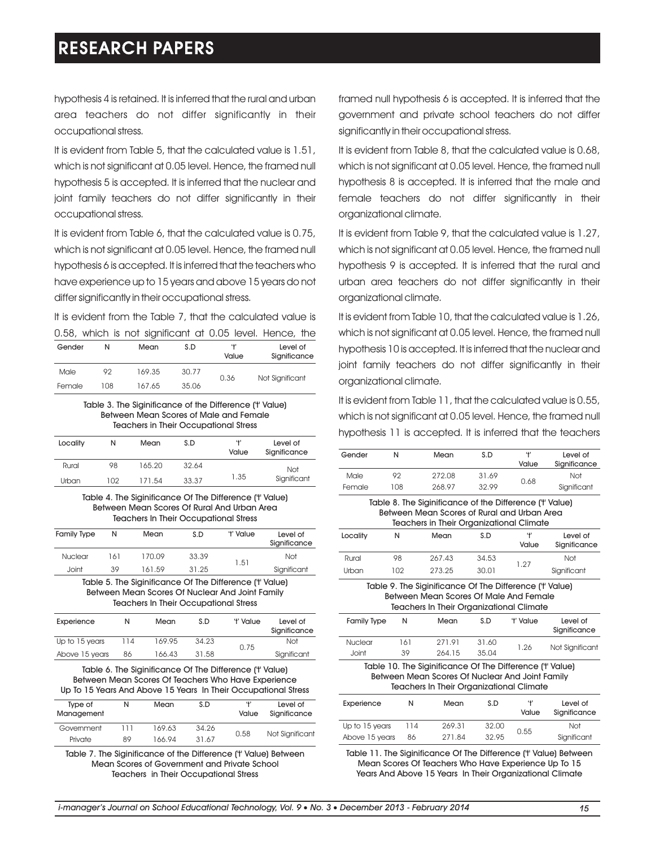hypothesis 4 is retained. It is inferred that the rural and urban area teachers do not differ significantly in their occupational stress.

It is evident from Table 5, that the calculated value is 1.51, which is not significant at 0.05 level. Hence, the framed null hypothesis 5 is accepted. It is inferred that the nuclear and joint family teachers do not differ significantly in their occupational stress.

It is evident from Table 6, that the calculated value is 0.75, which is not significant at 0.05 level. Hence, the framed null hypothesis 6 is accepted. It is inferred that the teachers who have experience up to 15 years and above 15 years do not differ significantly in their occupational stress.

It is evident from the Table 7, that the calculated value is

|        |     |        |       |             | 0.58, which is not significant at 0.05 level. Hence, the |
|--------|-----|--------|-------|-------------|----------------------------------------------------------|
| Gender | Ν   | Mean   | S.D   | 41<br>Value | Level of<br>Significance                                 |
| Male   | 92  | 169.35 | 30.77 | 0.36        | Not Significant                                          |
| Female | 108 | 167.65 | 35.06 |             |                                                          |

Table 3. The Siginificance of the Difference ('t' Value) Between Mean Scores of Male and Female Teachers in Their Occupational Stress

| Locality | Ν   | Mean   | S.D   | 4'<br>Value | Level of<br>Significance |
|----------|-----|--------|-------|-------------|--------------------------|
| Rural    | 98  | 165.20 | 32.64 |             | Not                      |
| Urban    | 102 | 171.54 | 33.37 | 1.35        | Significant              |

Table 4. The Siginificance Of The Difference ('t' Value) Between Mean Scores Of Rural And Urban Area Teachers In Their Occupational Stress

| <b>Family Type</b> | N   | Mean     | S.D               | 't' Value | Level of<br>Significance |
|--------------------|-----|----------|-------------------|-----------|--------------------------|
| <b>Nuclear</b>     | 161 | 170.09   | 33.39             |           | Not                      |
| Joint              | 39  | 161.59   | 31.25             | 1.51      | Significant              |
| _ _ _              | _ _ | --- - -- | - - --<br>- - - - |           |                          |

Table 5. The Siginificance Of The Difference ('t' Value) Between Mean Scores Of Nuclear And Joint Family Teachers In Their Occupational Stress

| Experience     | Ν   | Mean   | S.D   | 't' Value | Level of<br>Significance |
|----------------|-----|--------|-------|-----------|--------------------------|
| Up to 15 years | 114 | 169.95 | 34.23 | 0.75      | Not                      |
| Above 15 years | 86  | 166.43 | 31.58 |           | Significant              |

Table 6. The Siginificance Of The Difference ('t' Value) Between Mean Scores Of Teachers Who Have Experience Up To 15 Years And Above 15 Years In Their Occupational Stress

| Type of<br>Management | Ν   | Mean   | S.D   | 41<br>Value | Level of<br>Significance |
|-----------------------|-----|--------|-------|-------------|--------------------------|
| Government            | ווו | 169.63 | 34.26 |             |                          |
| Private               | 89  | 166.94 | 31.67 | 0.58        | Not Significant          |

Table 7. The Siginificance of the Difference ('t' Value) Between Mean Scores of Government and Private School Teachers in Their Occupational Stress

framed null hypothesis 6 is accepted. It is inferred that the government and private school teachers do not differ significantly in their occupational stress.

It is evident from Table 8, that the calculated value is 0.68, which is not significant at 0.05 level. Hence, the framed null hypothesis 8 is accepted. It is inferred that the male and female teachers do not differ significantly in their organizational climate.

It is evident from Table 9, that the calculated value is 1.27, which is not significant at 0.05 level. Hence, the framed null hypothesis 9 is accepted. It is inferred that the rural and urban area teachers do not differ significantly in their organizational climate.

It is evident from Table 10, that the calculated value is 1.26, which is not significant at 0.05 level. Hence, the framed null hypothesis 10 is accepted. It is inferred that the nuclear and joint family teachers do not differ significantly in their organizational climate.

It is evident from Table 11, that the calculated value is 0.55, which is not significant at 0.05 level. Hence, the framed null hypothesis 11 is accepted. It is inferred that the teachers

| Gender                                                                                             | N   | Mean                                                      | S.D   | 4'        | level of        |  |  |
|----------------------------------------------------------------------------------------------------|-----|-----------------------------------------------------------|-------|-----------|-----------------|--|--|
|                                                                                                    |     |                                                           |       | Value     | Significance    |  |  |
| Male                                                                                               | 92  | 272.08                                                    | 31.69 | 0.68      | Not             |  |  |
| Female                                                                                             | 108 | 268.97                                                    | 32.99 |           | Significant     |  |  |
| Table 8. The Siginificance of the Difference ('t' Value)                                           |     |                                                           |       |           |                 |  |  |
|                                                                                                    |     | Between Mean Scores of Rural and Urban Area               |       |           |                 |  |  |
|                                                                                                    |     | <b>Teachers in Their Organizational Climate</b>           |       |           |                 |  |  |
| Locality                                                                                           | N   | Mean                                                      | S.D   | 4'        | Level of        |  |  |
|                                                                                                    |     |                                                           |       | Value     | Significance    |  |  |
| Rural                                                                                              | 98  | 267.43                                                    | 34.53 |           | Not             |  |  |
| Urban                                                                                              | 102 | 273.25                                                    | 30.01 | 1.27      | Significant     |  |  |
|                                                                                                    |     |                                                           |       |           |                 |  |  |
| Table 9. The Siginificance Of The Difference ('t' Value)<br>Between Mean Scores Of Male And Female |     |                                                           |       |           |                 |  |  |
|                                                                                                    |     |                                                           |       |           |                 |  |  |
|                                                                                                    |     | <b>Teachers In Their Organizational Climate</b>           |       |           |                 |  |  |
| <b>Family Type</b>                                                                                 | N   | Mean                                                      | S.D   | 't' Value | Level of        |  |  |
|                                                                                                    |     |                                                           |       |           | Significance    |  |  |
| Nuclear                                                                                            | 161 | 271.91                                                    | 31.60 |           |                 |  |  |
| Joint                                                                                              | 39  | 264.15                                                    | 35.04 | 1.26      | Not Significant |  |  |
|                                                                                                    |     | Table 10. The Siginificance Of The Difference ('t' Value) |       |           |                 |  |  |
|                                                                                                    |     | Between Mean Scores Of Nuclear And Joint Family           |       |           |                 |  |  |
|                                                                                                    |     | <b>Teachers In Their Organizational Climate</b>           |       |           |                 |  |  |
|                                                                                                    | N   | Mean                                                      | S.D   | 4,        | Level of        |  |  |
| Experience                                                                                         |     |                                                           |       | Value     | Significance    |  |  |
| Up to 15 years                                                                                     | 114 | 269.31                                                    | 32.00 | 0.55      | Not             |  |  |

Table 11. The Siginificance Of The Difference ('t' Value) Between Mean Scores Of Teachers Who Have Experience Up To 15 Years And Above 15 Years In Their Organizational Climate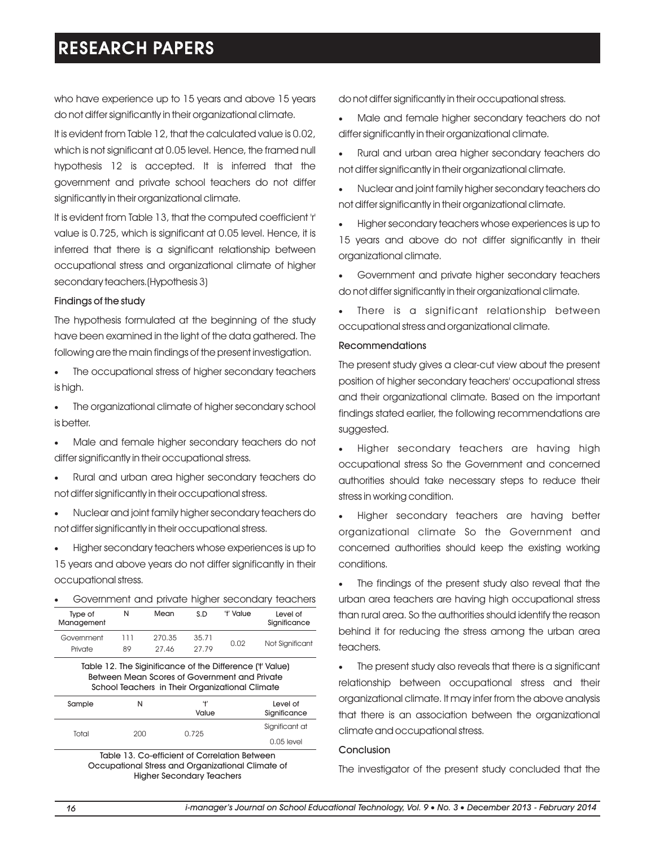who have experience up to 15 years and above 15 years do not differ significantly in their organizational climate.

It is evident from Table 12, that the calculated value is 0.02, which is not significant at 0.05 level. Hence, the framed null hypothesis 12 is accepted. It is inferred that the government and private school teachers do not differ significantly in their organizational climate.

It is evident from Table 13, that the computed coefficient 'r' value is 0.725, which is significant at 0.05 level. Hence, it is inferred that there is a significant relationship between occupational stress and organizational climate of higher secondary teachers.(Hypothesis 3)

#### Findings of the study

The hypothesis formulated at the beginning of the study have been examined in the light of the data gathered. The following are the main findings of the present investigation.

- The occupational stress of higher secondary teachers is high.
- The organizational climate of higher secondary school is better.
- Male and female higher secondary teachers do not differ significantly in their occupational stress.
- ·Rural and urban area higher secondary teachers do not differ significantly in their occupational stress.
- ·Nuclear and joint family higher secondary teachers do not differ significantly in their occupational stress.

·Higher secondary teachers whose experiences is up to 15 years and above years do not differ significantly in their occupational stress.

| $\bullet$<br>Type of                                                                                       | N   | Mean   | S.D   | 't' Value | Government and private higher secondary teachers<br>Level of |  |
|------------------------------------------------------------------------------------------------------------|-----|--------|-------|-----------|--------------------------------------------------------------|--|
| Management                                                                                                 |     |        |       |           | Significance                                                 |  |
| Government                                                                                                 | 111 | 270.35 | 35.71 | 0.02      |                                                              |  |
| Private                                                                                                    | 89  | 27.46  | 27.79 |           | Not Significant                                              |  |
| Table 12. The Siginificance of the Difference ('t' Value)<br>Batusan Magn Caares of Covernment and Drivate |     |        |       |           |                                                              |  |

Between Mean Scores of Government and Private School Teachers in Their Organizational Climate

| Sample | N   | 41<br>Value | Level of<br>Significance |
|--------|-----|-------------|--------------------------|
| Total  | 200 | 0.725       | Significant at           |
|        |     |             | $0.05$ level             |

Table 13. Co-efficient of Correlation Between Occupational Stress and Organizational Climate of Higher Secondary Teachers

do not differ significantly in their occupational stress.

- Male and female higher secondary teachers do not differ significantly in their organizational climate.
- Rural and urban area higher secondary teachers do not differ significantly in their organizational climate.
- ·Nuclear and joint family higher secondary teachers do not differ significantly in their organizational climate.
- Higher secondary teachers whose experiences is up to 15 years and above do not differ significantly in their organizational climate.
- Government and private higher secondary teachers do not differ significantly in their organizational climate.
- ·There is a significant relationship between occupational stress and organizational climate.

# Recommendations

The present study gives a clear-cut view about the present position of higher secondary teachers' occupational stress and their organizational climate. Based on the important findings stated earlier, the following recommendations are suggested.

·Higher secondary teachers are having high occupational stress So the Government and concerned authorities should take necessary steps to reduce their stress in working condition.

·Higher secondary teachers are having better organizational climate So the Government and concerned authorities should keep the existing working conditions.

The findings of the present study also reveal that the urban area teachers are having high occupational stress than rural area. So the authorities should identify the reason behind it for reducing the stress among the urban area teachers.

The present study also reveals that there is a significant relationship between occupational stress and their organizational climate. It may infer from the above analysis that there is an association between the organizational climate and occupational stress.

#### Conclusion

The investigator of the present study concluded that the